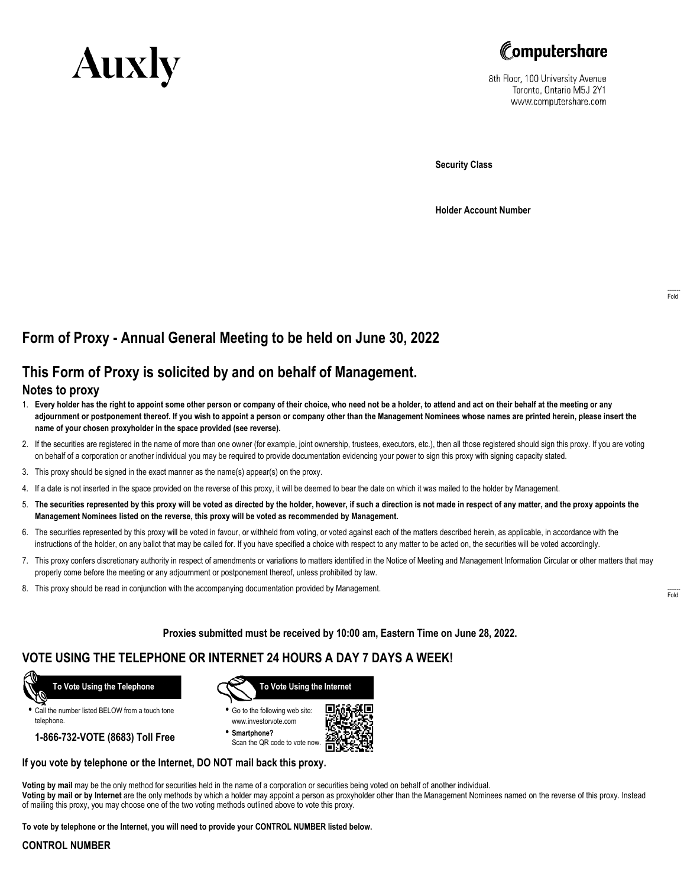



8th Floor, 100 University Avenue Toronto, Ontario M5J 2Y1 www.computershare.com

**Security Class**

**Holder Account Number**

# **Form of Proxy - Annual General Meeting to be held on June 30, 2022**

## **This Form of Proxy is solicited by and on behalf of Management.**

### **Notes to proxy**

- 1. **Every holder has the right to appoint some other person or company of their choice, who need not be a holder, to attend and act on their behalf at the meeting or any adjournment or postponement thereof. If you wish to appoint a person or company other than the Management Nominees whose names are printed herein, please insert the name of your chosen proxyholder in the space provided (see reverse).**
- 2. If the securities are registered in the name of more than one owner (for example, joint ownership, trustees, executors, etc.), then all those registered should sign this proxy. If you are voting on behalf of a corporation or another individual you may be required to provide documentation evidencing your power to sign this proxy with signing capacity stated.
- 3. This proxy should be signed in the exact manner as the name(s) appear(s) on the proxy.
- 4. If a date is not inserted in the space provided on the reverse of this proxy, it will be deemed to bear the date on which it was mailed to the holder by Management.
- 5. **The securities represented by this proxy will be voted as directed by the holder, however, if such a direction is not made in respect of any matter, and the proxy appoints the Management Nominees listed on the reverse, this proxy will be voted as recommended by Management.**
- 6. The securities represented by this proxy will be voted in favour, or withheld from voting, or voted against each of the matters described herein, as applicable, in accordance with the instructions of the holder, on any ballot that may be called for. If you have specified a choice with respect to any matter to be acted on, the securities will be voted accordingly.
- 7. This proxy confers discretionary authority in respect of amendments or variations to matters identified in the Notice of Meeting and Management Information Circular or other matters that may properly come before the meeting or any adjournment or postponement thereof, unless prohibited by law.
- 8. This proxy should be read in conjunction with the accompanying documentation provided by Management.

**Proxies submitted must be received by 10:00 am, Eastern Time on June 28, 2022.**

### **VOTE USING THE TELEPHONE OR INTERNET 24 HOURS A DAY 7 DAYS A WEEK!**



**•** Call the number listed BELOW from a touch tone telephone.

**1-866-732-VOTE (8683) Toll Free**



**•** Go to the following web site: www.investorvote.com

**• Smartphone?** Scan the QR code to vote now.



#### **If you vote by telephone or the Internet, DO NOT mail back this proxy.**

**Voting by mail** may be the only method for securities held in the name of a corporation or securities being voted on behalf of another individual. **Voting by mail or by Internet** are the only methods by which a holder may appoint a person as proxyholder other than the Management Nominees named on the reverse of this proxy. Instead of mailing this proxy, you may choose one of the two voting methods outlined above to vote this proxy.

**To vote by telephone or the Internet, you will need to provide your CONTROL NUMBER listed below.**

#### **CONTROL NUMBER**